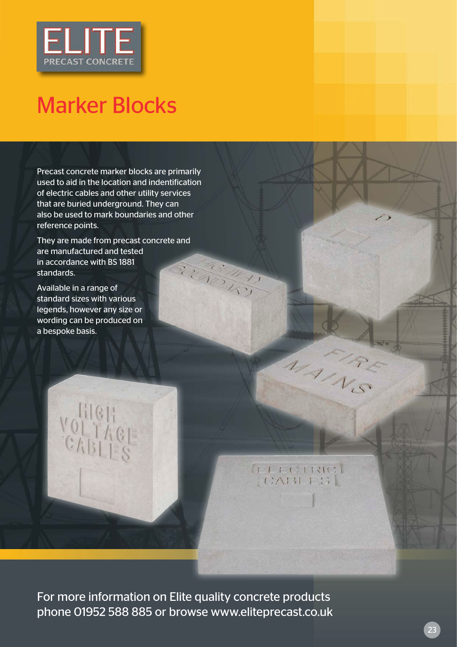

## Marker Blocks

Precast concrete marker blocks are primarily used to aid in the location and indentification of electric cables and other utility services that are buried underground. They can also be used to mark boundaries and other reference points.

They are made from precast concrete and are manufactured and tested in accordance with BS 1881 RECOMM standards.

Available in a range of standard sizes with various legends, however any size or wording can be produced on a bespoke basis.

**QUECTRIC** 

MAIRS

For more information on Elite quality concrete products phone 01952 588 885 or browse www.eliteprecast.co.uk